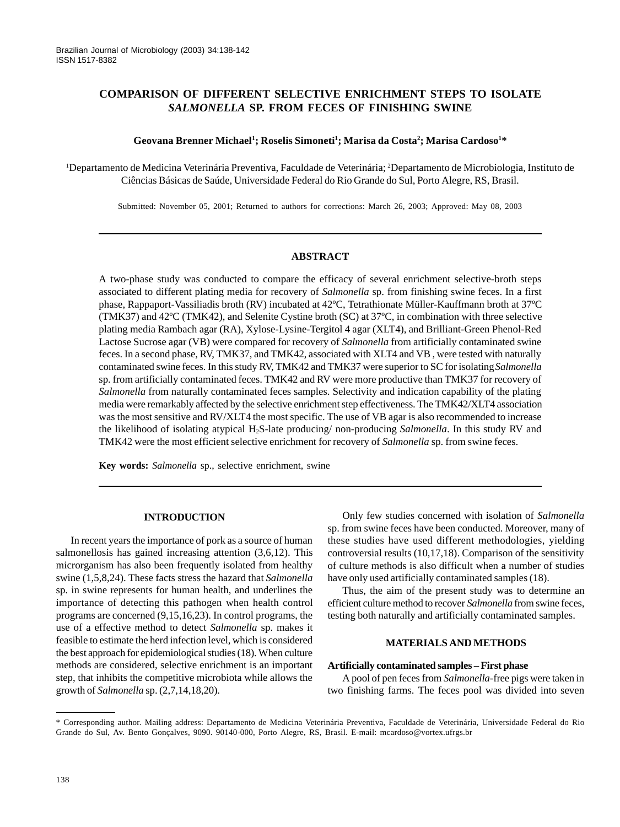# **COMPARISON OF DIFFERENT SELECTIVE ENRICHMENT STEPS TO ISOLATE** *SALMONELLA* **SP. FROM FECES OF FINISHING SWINE**

### $\bf G$ eovana Brenner Michael<sup>1</sup>; Roselis Simoneti<sup>1</sup>; Marisa da Costa<sup>2</sup>; Marisa Cardoso<sup>1\*</sup>

1 Departamento de Medicina Veterinária Preventiva, Faculdade de Veterinária; 2 Departamento de Microbiologia, Instituto de Ciências Básicas de Saúde, Universidade Federal do Rio Grande do Sul, Porto Alegre, RS, Brasil.

Submitted: November 05, 2001; Returned to authors for corrections: March 26, 2003; Approved: May 08, 2003

## **ABSTRACT**

A two-phase study was conducted to compare the efficacy of several enrichment selective-broth steps associated to different plating media for recovery of *Salmonella* sp. from finishing swine feces. In a first phase, Rappaport-Vassiliadis broth (RV) incubated at 42ºC, Tetrathionate Müller-Kauffmann broth at 37ºC (TMK37) and 42ºC (TMK42), and Selenite Cystine broth (SC) at 37ºC, in combination with three selective plating media Rambach agar (RA), Xylose-Lysine-Tergitol 4 agar (XLT4), and Brilliant-Green Phenol-Red Lactose Sucrose agar (VB) were compared for recovery of *Salmonella* from artificially contaminated swine feces. In a second phase, RV, TMK37, and TMK42, associated with XLT4 and VB , were tested with naturally contaminated swine feces. In this study RV, TMK42 and TMK37 were superior to SC for isolating *Salmonella* sp. from artificially contaminated feces. TMK42 and RV were more productive than TMK37 for recovery of *Salmonella* from naturally contaminated feces samples. Selectivity and indication capability of the plating media were remarkably affected by the selective enrichment step effectiveness. The TMK42/XLT4 association was the most sensitive and RV/XLT4 the most specific. The use of VB agar is also recommended to increase the likelihood of isolating atypical H2S-late producing/ non-producing *Salmonella*. In this study RV and TMK42 were the most efficient selective enrichment for recovery of *Salmonella* sp. from swine feces.

**Key words:** *Salmonella* sp., selective enrichment, swine

## **INTRODUCTION**

In recent years the importance of pork as a source of human salmonellosis has gained increasing attention (3,6,12). This microrganism has also been frequently isolated from healthy swine (1,5,8,24). These facts stress the hazard that *Salmonella* sp. in swine represents for human health, and underlines the importance of detecting this pathogen when health control programs are concerned (9,15,16,23). In control programs, the use of a effective method to detect *Salmonella* sp. makes it feasible to estimate the herd infection level, which is considered the best approach for epidemiological studies (18). When culture methods are considered, selective enrichment is an important step, that inhibits the competitive microbiota while allows the growth of *Salmonella* sp. (2,7,14,18,20).

Only few studies concerned with isolation of *Salmonella* sp. from swine feces have been conducted. Moreover, many of these studies have used different methodologies, yielding controversial results (10,17,18). Comparison of the sensitivity of culture methods is also difficult when a number of studies have only used artificially contaminated samples (18).

Thus, the aim of the present study was to determine an efficient culture method to recover *Salmonella* from swine feces, testing both naturally and artificially contaminated samples.

#### **MATERIALS AND METHODS**

#### **Artificially contaminated samples – First phase**

A pool of pen feces from *Salmonella-*free pigs were taken in two finishing farms. The feces pool was divided into seven

<sup>\*</sup> Corresponding author. Mailing address: Departamento de Medicina Veterinária Preventiva, Faculdade de Veterinária, Universidade Federal do Rio Grande do Sul, Av. Bento Gonçalves, 9090. 90140-000, Porto Alegre, RS, Brasil. E-mail: mcardoso@vortex.ufrgs.br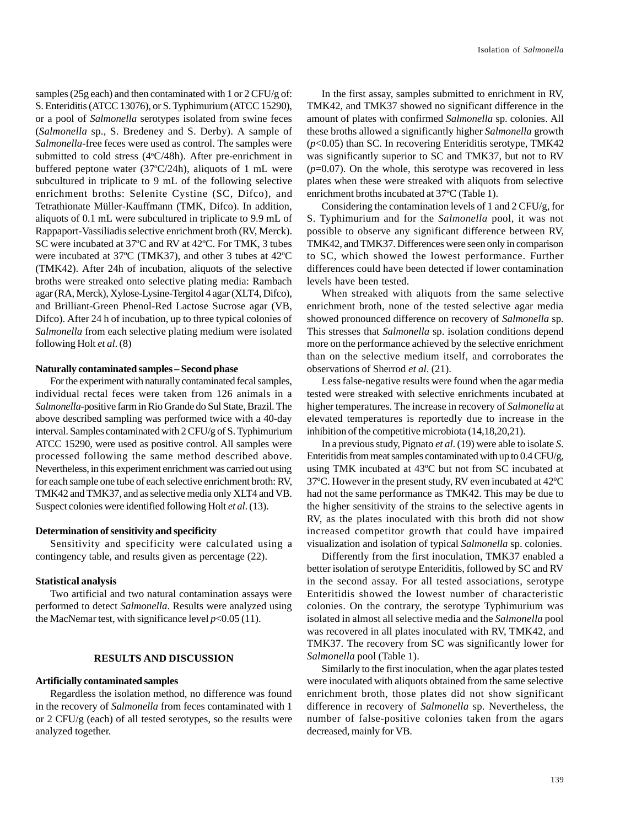samples (25g each) and then contaminated with 1 or 2 CFU/g of: S. Enteriditis (ATCC 13076), or S. Typhimurium (ATCC 15290), or a pool of *Salmonella* serotypes isolated from swine feces (*Salmonella* sp., S. Bredeney and S. Derby). A sample of *Salmonella*-free feces were used as control. The samples were submitted to cold stress (4°C/48h). After pre-enrichment in buffered peptone water (37°C/24h), aliquots of 1 mL were subcultured in triplicate to 9 mL of the following selective enrichment broths: Selenite Cystine (SC, Difco), and Tetrathionate Müller-Kauffmann (TMK, Difco). In addition, aliquots of 0.1 mL were subcultured in triplicate to 9.9 mL of Rappaport-Vassiliadis selective enrichment broth (RV, Merck). SC were incubated at 37ºC and RV at 42ºC. For TMK, 3 tubes were incubated at 37ºC (TMK37), and other 3 tubes at 42ºC (TMK42). After 24h of incubation, aliquots of the selective broths were streaked onto selective plating media: Rambach agar (RA, Merck), Xylose-Lysine-Tergitol 4 agar (XLT4, Difco), and Brilliant-Green Phenol-Red Lactose Sucrose agar (VB, Difco). After 24 h of incubation, up to three typical colonies of *Salmonella* from each selective plating medium were isolated following Holt *et al*. (8)

### **Naturally contaminated samples – Second phase**

For the experiment with naturally contaminated fecal samples, individual rectal feces were taken from 126 animals in a *Salmonella*-positive farm in Rio Grande do Sul State, Brazil. The above described sampling was performed twice with a 40-day interval. Samples contaminated with 2 CFU/g of S. Typhimurium ATCC 15290, were used as positive control. All samples were processed following the same method described above. Nevertheless, in this experiment enrichment was carried out using for each sample one tube of each selective enrichment broth: RV, TMK42 and TMK37, and as selective media only XLT4 and VB. Suspect colonies were identified following Holt *et al*. (13).

### **Determination of sensitivity and specificity**

Sensitivity and specificity were calculated using a contingency table, and results given as percentage (22).

#### **Statistical analysis**

Two artificial and two natural contamination assays were performed to detect *Salmonella*. Results were analyzed using the MacNemar test, with significance level  $p<0.05(11)$ .

#### **RESULTS AND DISCUSSION**

### **Artificially contaminated samples**

Regardless the isolation method, no difference was found in the recovery of *Salmonella* from feces contaminated with 1 or 2 CFU/g (each) of all tested serotypes, so the results were analyzed together.

In the first assay, samples submitted to enrichment in RV, TMK42, and TMK37 showed no significant difference in the amount of plates with confirmed *Salmonella* sp. colonies. All these broths allowed a significantly higher *Salmonella* growth (*p*<0.05) than SC. In recovering Enteriditis serotype, TMK42 was significantly superior to SC and TMK37, but not to RV  $(p=0.07)$ . On the whole, this serotype was recovered in less plates when these were streaked with aliquots from selective enrichment broths incubated at 37ºC (Table 1).

Considering the contamination levels of 1 and 2 CFU/g, for S. Typhimurium and for the *Salmonella* pool, it was not possible to observe any significant difference between RV, TMK42, and TMK37. Differences were seen only in comparison to SC, which showed the lowest performance. Further differences could have been detected if lower contamination levels have been tested.

When streaked with aliquots from the same selective enrichment broth, none of the tested selective agar media showed pronounced difference on recovery of *Salmonella* sp. This stresses that *Salmonella* sp. isolation conditions depend more on the performance achieved by the selective enrichment than on the selective medium itself, and corroborates the observations of Sherrod *et al*. (21).

Less false-negative results were found when the agar media tested were streaked with selective enrichments incubated at higher temperatures. The increase in recovery of *Salmonella* at elevated temperatures is reportedly due to increase in the inhibition of the competitive microbiota (14,18,20,21).

In a previous study, Pignato *et al*. (19) were able to isolate *S*. Enteritidis from meat samples contaminated with up to 0.4 CFU/g, using TMK incubated at 43ºC but not from SC incubated at 37ºC. However in the present study, RV even incubated at 42ºC had not the same performance as TMK42. This may be due to the higher sensitivity of the strains to the selective agents in RV, as the plates inoculated with this broth did not show increased competitor growth that could have impaired visualization and isolation of typical *Salmonella* sp. colonies.

Differently from the first inoculation, TMK37 enabled a better isolation of serotype Enteriditis, followed by SC and RV in the second assay. For all tested associations, serotype Enteritidis showed the lowest number of characteristic colonies. On the contrary, the serotype Typhimurium was isolated in almost all selective media and the *Salmonella* pool was recovered in all plates inoculated with RV, TMK42, and TMK37. The recovery from SC was significantly lower for *Salmonella* pool (Table 1).

Similarly to the first inoculation, when the agar plates tested were inoculated with aliquots obtained from the same selective enrichment broth, those plates did not show significant difference in recovery of *Salmonella* sp. Nevertheless, the number of false-positive colonies taken from the agars decreased, mainly for VB.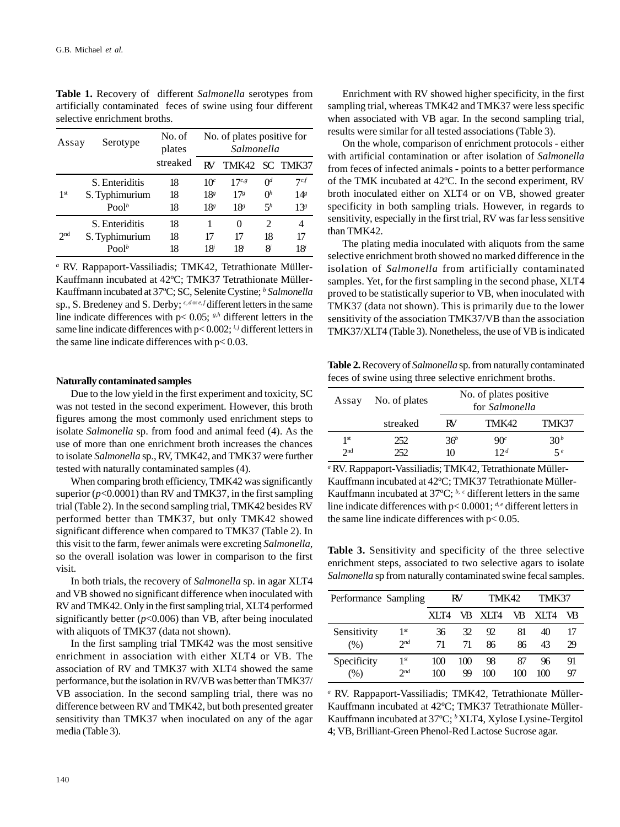| Assay           | No. of<br>Serotype<br>plates |          |                 | No. of plates positive for<br>Salmonella |                             |                 |  |  |
|-----------------|------------------------------|----------|-----------------|------------------------------------------|-----------------------------|-----------------|--|--|
|                 |                              | streaked | RV              | TMK42 SC TMK37                           |                             |                 |  |  |
| 1 <sup>st</sup> | S. Enteriditis               | 18       | 10 <sup>c</sup> | $17^{c,g}$                               | $\alpha$                    | 7c f            |  |  |
|                 | S. Typhimurium               | 18       | 18 <sup>g</sup> | 17 <sup>s</sup>                          | $\alpha$                    | 14 <sup>g</sup> |  |  |
|                 | Pool <sup>b</sup>            | 18       | 18 <sup>s</sup> | 18 <sup>s</sup>                          | $\zeta^h$                   | 13 <sup>g</sup> |  |  |
| 2 <sub>nd</sub> | S. Enteriditis               | 18       |                 | 0                                        | $\mathcal{D}_{\mathcal{L}}$ | 4               |  |  |
|                 | S. Typhimurium               | 18       | 17              | 17                                       | 18                          | 17              |  |  |
|                 | Pool <sup>b</sup>            | 18       | 18i             | 18 <sup>i</sup>                          | 8i                          | 18 <sup>i</sup> |  |  |

**Table 1.** Recovery of different *Salmonella* serotypes from artificially contaminated feces of swine using four different selective enrichment broths.

*a* RV. Rappaport-Vassiliadis; TMK42, Tetrathionate Müller-Kauffmann incubated at 42ºC; TMK37 Tetrathionate Müller-Kauffmann incubated at 37ºC; SC, Selenite Cystine; *<sup>b</sup> Salmonella* sp., S. Bredeney and S. Derby; <sup>*c*, dore, *f* different letters in the same</sup> line indicate differences with  $p < 0.05$ ;  $s<sup>h</sup>$  different letters in the same line indicate differences with  $p < 0.002$ ; *i, j* different letters in the same line indicate differences with  $p < 0.03$ .

#### **Naturally contaminated samples**

Due to the low yield in the first experiment and toxicity, SC was not tested in the second experiment. However, this broth figures among the most commonly used enrichment steps to isolate *Salmonella* sp. from food and animal feed (4). As the use of more than one enrichment broth increases the chances to isolate *Salmonella* sp., RV, TMK42, and TMK37 were further tested with naturally contaminated samples (4).

When comparing broth efficiency, TMK42 was significantly superior  $(p<0.0001)$  than RV and TMK37, in the first sampling trial (Table 2). In the second sampling trial, TMK42 besides RV performed better than TMK37, but only TMK42 showed significant difference when compared to TMK37 (Table 2). In this visit to the farm, fewer animals were excreting *Salmonella*, so the overall isolation was lower in comparison to the first visit.

In both trials, the recovery of *Salmonella* sp. in agar XLT4 and VB showed no significant difference when inoculated with RV and TMK42. Only in the first sampling trial, XLT4 performed significantly better  $(p<0.006)$  than VB, after being inoculated with aliquots of TMK37 (data not shown).

In the first sampling trial TMK42 was the most sensitive enrichment in association with either XLT4 or VB. The association of RV and TMK37 with XLT4 showed the same performance, but the isolation in RV/VB was better than TMK37/ VB association. In the second sampling trial, there was no difference between RV and TMK42, but both presented greater sensitivity than TMK37 when inoculated on any of the agar media (Table 3).

Enrichment with RV showed higher specificity, in the first sampling trial, whereas TMK42 and TMK37 were less specific when associated with VB agar. In the second sampling trial, results were similar for all tested associations (Table 3).

On the whole, comparison of enrichment protocols - either with artificial contamination or after isolation of *Salmonella* from feces of infected animals - points to a better performance of the TMK incubated at 42ºC. In the second experiment, RV broth inoculated either on XLT4 or on VB, showed greater specificity in both sampling trials. However, in regards to sensitivity, especially in the first trial, RV was far less sensitive than TMK42.

The plating media inoculated with aliquots from the same selective enrichment broth showed no marked difference in the isolation of *Salmonella* from artificially contaminated samples. Yet, for the first sampling in the second phase, XLT4 proved to be statistically superior to VB, when inoculated with TMK37 (data not shown). This is primarily due to the lower sensitivity of the association TMK37/VB than the association TMK37/XLT4 (Table 3). Nonetheless, the use of VB is indicated

**Table 2.** Recovery of *Salmonella* sp. from naturally contaminated feces of swine using three selective enrichment broths.

| Assay           | No. of plates | No. of plates positive.<br>for Salmonella |                 |                 |  |
|-----------------|---------------|-------------------------------------------|-----------------|-----------------|--|
|                 | streaked      | RV                                        | TMK42           | TMK37           |  |
| 1 <sup>st</sup> | 252           | 36 <sup>b</sup>                           | 90 <sup>c</sup> | 30 <sup>b</sup> |  |
| 2 <sub>nd</sub> | 252.          | 10                                        | 12d             | 5e              |  |

*a* RV. Rappaport-Vassiliadis; TMK42, Tetrathionate Müller-Kauffmann incubated at 42ºC; TMK37 Tetrathionate Müller-Kauffmann incubated at 37ºC; *b, c* different letters in the same line indicate differences with p< 0.0001; *d, e* different letters in the same line indicate differences with p< 0.05.

**Table 3.** Sensitivity and specificity of the three selective enrichment steps, associated to two selective agars to isolate *Salmonella* sp from naturally contaminated swine fecal samples.

| Performance Sampling |                 | RV    |     | TMK42   |     | TMK37 |    |
|----------------------|-----------------|-------|-----|---------|-----|-------|----|
|                      |                 | XI T4 |     | VB XIT4 | VB  | XI T4 | VB |
| Sensitivity          | 1st             | 36    | 32  | 92      | 81  | 40    | 29 |
| (% )                 | 2 <sub>nd</sub> | 71    | 71  | 86      | 86  | 43    |    |
| Specificity          | $1^{st}$        | 100   | 100 | 98      | 87  | 96    | 91 |
| (%)                  | 2 <sub>nd</sub> | 100   | 99  | 100     | 100 | 100   | 97 |

*a* RV. Rappaport-Vassiliadis; TMK42, Tetrathionate Müller-Kauffmann incubated at 42ºC; TMK37 Tetrathionate Müller-Kauffmann incubated at 37°C; <sup>*b*</sup>XLT4, Xylose Lysine-Tergitol 4; VB, Brilliant-Green Phenol-Red Lactose Sucrose agar.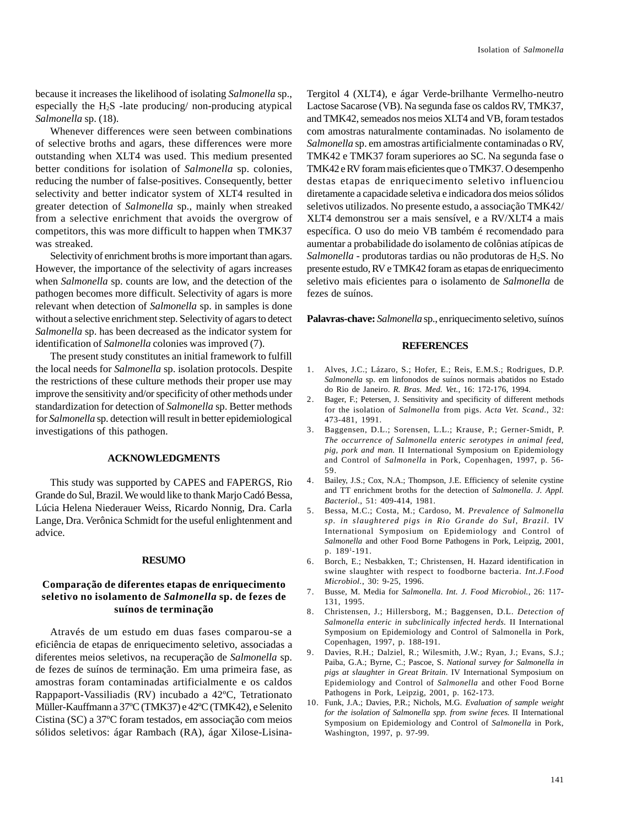because it increases the likelihood of isolating *Salmonella* sp., especially the  $H_2S$  -late producing/ non-producing atypical *Salmonella* sp. (18).

Whenever differences were seen between combinations of selective broths and agars, these differences were more outstanding when XLT4 was used. This medium presented better conditions for isolation of *Salmonella* sp. colonies, reducing the number of false-positives. Consequently, better selectivity and better indicator system of XLT4 resulted in greater detection of *Salmonella* sp., mainly when streaked from a selective enrichment that avoids the overgrow of competitors, this was more difficult to happen when TMK37 was streaked.

Selectivity of enrichment broths is more important than agars. However, the importance of the selectivity of agars increases when *Salmonella* sp. counts are low, and the detection of the pathogen becomes more difficult. Selectivity of agars is more relevant when detection of *Salmonella* sp. in samples is done without a selective enrichment step. Selectivity of agars to detect *Salmonella* sp. has been decreased as the indicator system for identification of *Salmonella* colonies was improved (7).

The present study constitutes an initial framework to fulfill the local needs for *Salmonella* sp. isolation protocols. Despite the restrictions of these culture methods their proper use may improve the sensitivity and/or specificity of other methods under standardization for detection of *Salmonella* sp. Better methods for *Salmonella* sp. detection will result in better epidemiological investigations of this pathogen.

## **ACKNOWLEDGMENTS**

This study was supported by CAPES and FAPERGS, Rio Grande do Sul, Brazil. We would like to thank Marjo Cadó Bessa, Lúcia Helena Niederauer Weiss, Ricardo Nonnig, Dra. Carla Lange, Dra. Verônica Schmidt for the useful enlightenment and advice.

#### **RESUMO**

## **Comparação de diferentes etapas de enriquecimento seletivo no isolamento de** *Salmonella* **sp. de fezes de suínos de terminação**

Através de um estudo em duas fases comparou-se a eficiência de etapas de enriquecimento seletivo, associadas a diferentes meios seletivos, na recuperação de *Salmonella* sp. de fezes de suínos de terminação. Em uma primeira fase, as amostras foram contaminadas artificialmente e os caldos Rappaport-Vassiliadis (RV) incubado a 42ºC, Tetrationato Müller-Kauffmann a 37ºC (TMK37) e 42ºC (TMK42), e Selenito Cistina (SC) a 37ºC foram testados, em associação com meios sólidos seletivos: ágar Rambach (RA), ágar Xilose-LisinaTergitol 4 (XLT4), e ágar Verde-brilhante Vermelho-neutro Lactose Sacarose (VB). Na segunda fase os caldos RV, TMK37, and TMK42, semeados nos meios XLT4 and VB, foram testados com amostras naturalmente contaminadas. No isolamento de *Salmonella* sp. em amostras artificialmente contaminadas o RV, TMK42 e TMK37 foram superiores ao SC. Na segunda fase o TMK42 e RV foram mais eficientes que o TMK37. O desempenho destas etapas de enriquecimento seletivo influenciou diretamente a capacidade seletiva e indicadora dos meios sólidos seletivos utilizados. No presente estudo, a associação TMK42/ XLT4 demonstrou ser a mais sensível, e a RV/XLT4 a mais específica. O uso do meio VB também é recomendado para aumentar a probabilidade do isolamento de colônias atípicas de Salmonella - produtoras tardias ou não produtoras de H<sub>2</sub>S. No presente estudo, RV e TMK42 foram as etapas de enriquecimento seletivo mais eficientes para o isolamento de *Salmonella* de fezes de suínos.

**Palavras-chave:** *Salmonella* sp., enriquecimento seletivo, suínos

## **REFERENCES**

- 1. Alves, J.C.; Lázaro, S.; Hofer, E.; Reis, E.M.S.; Rodrigues, D.P. *Salmonella* sp. em linfonodos de suínos normais abatidos no Estado do Rio de Janeiro. *R. Bras. Med. Vet.*, 16: 172-176, 1994.
- 2. Bager, F.; Petersen, J. Sensitivity and specificity of different methods for the isolation of *Salmonella* from pigs. *Acta Vet. Scand.*, 32: 473-481, 1991.
- 3. Baggensen, D.L.; Sorensen, L.L.; Krause, P.; Gerner-Smidt, P. *The occurrence of Salmonella enteric serotypes in animal feed, pig, pork and man.* II International Symposium on Epidemiology and Control of *Salmonella* in Pork, Copenhagen, 1997, p. 56- 59.
- 4. Bailey, J.S.; Cox, N.A.; Thompson, J.E. Efficiency of selenite cystine and TT enrichment broths for the detection of *Salmonella*. *J. Appl. Bacteriol*., 51: 409-414, 1981.
- 5. Bessa, M.C.; Costa, M.; Cardoso, M. *Prevalence of Salmonella sp. in slaughtered pigs in Rio Grande do Sul, Brazil.* IV International Symposium on Epidemiology and Control of *Salmonella* and other Food Borne Pathogens in Pork, Leipzig, 2001, p. 1891-191.
- 6. Borch, E.; Nesbakken, T.; Christensen, H. Hazard identification in swine slaughter with respect to foodborne bacteria. *Int.J.Food Microbiol.*, 30: 9-25, 1996.
- 7. Busse, M. Media for *Salmonella*. *Int. J. Food Microbiol.*, 26: 117- 131, 1995.
- 8. Christensen, J.; Hillersborg, M.; Baggensen, D.L. *Detection of Salmonella enteric in subclinically infected herds.* II International Symposium on Epidemiology and Control of Salmonella in Pork, Copenhagen, 1997, p. 188-191.
- 9. Davies, R.H.; Dalziel, R.; Wilesmith, J.W.; Ryan, J.; Evans, S.J.; Paiba, G.A.; Byrne, C.; Pascoe, S. *National survey for Salmonella in pigs at slaughter in Great Britain*. IV International Symposium on Epidemiology and Control of *Salmonella* and other Food Borne Pathogens in Pork, Leipzig, 2001, p. 162-173.
- 10. Funk, J.A.; Davies, P.R.; Nichols, M.G. *Evaluation of sample weight for the isolation of Salmonella spp. from swine feces.* II International Symposium on Epidemiology and Control of *Salmonella* in Pork, Washington, 1997, p. 97-99.